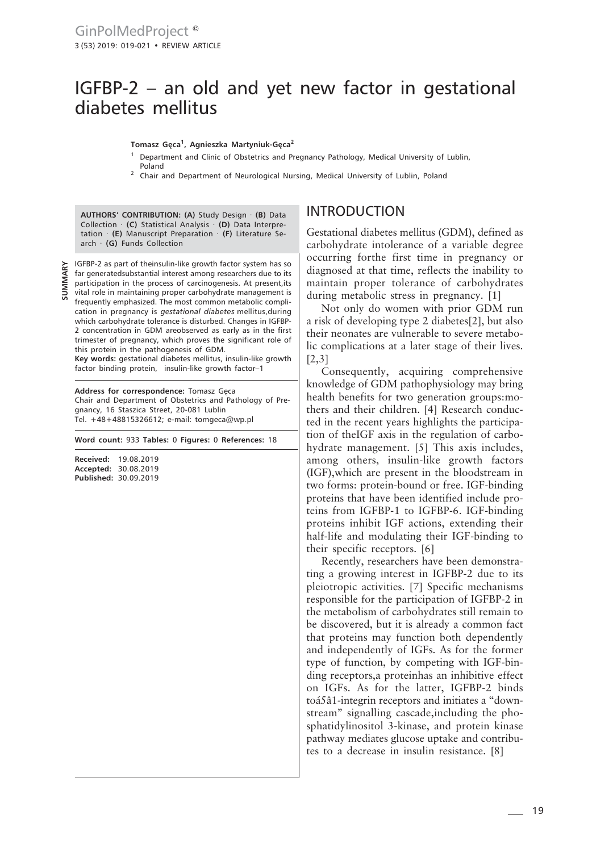## IGFBP-2 – an old and yet new factor in gestational diabetes mellitus

**Tomasz Gęca<sup>1</sup> , Agnieszka Martyniuk-Gęca<sup>2</sup>**

- <sup>1</sup> Department and Clinic of Obstetrics and Pregnancy Pathology, Medical University of Lublin, Poland
- <sup>2</sup> Chair and Department of Neurological Nursing, Medical University of Lublin, Poland

**AUTHORS' CONTRIBUTION: (A)** Study Design · **(B)** Data Collection · **(C)** Statistical Analysis · **(D)** Data Interpretation · **(E)** Manuscript Preparation · **(F)** Literature Search · **(G)** Funds Collection

IGFBP-2 as part of theinsulin-like growth factor system has so far generatedsubstantial interest among researchers due to its participation in the process of carcinogenesis. At present,its vital role in maintaining proper carbohydrate management is frequently emphasized. The most common metabolic complication in pregnancy is *gestational diabetes* mellitus,during which carbohydrate tolerance is disturbed. Changes in IGFBP-2 concentration in GDM areobserved as early as in the first trimester of pregnancy, which proves the significant role of this protein in the pathogenesis of GDM. **Key words:** gestational diabetes mellitus, insulin-like growth

factor binding protein, insulin-like growth factor–1

**Address for correspondence:** Tomasz Gęca Chair and Department of Obstetrics and Pathology of Pregnancy, 16 Staszica Street, 20-081 Lublin Tel. +48+48815326612; e-mail: tomgeca@wp.pl

**Word count:** 933 **Tables:** 0 **Figures:** 0 **References:** 18

**Received:** 19.08.2019 **Accepted:** 30.08.2019 **Published:** 30.09.2019

## INTRODUCTION

Gestational diabetes mellitus (GDM), defined as carbohydrate intolerance of a variable degree occurring forthe first time in pregnancy or diagnosed at that time, reflects the inability to maintain proper tolerance of carbohydrates during metabolic stress in pregnancy. [1]

Not only do women with prior GDM run a risk of developing type 2 diabetes[2], but also their neonates are vulnerable to severe metabolic complications at a later stage of their lives. [2,3]

Consequently, acquiring comprehensive knowledge of GDM pathophysiology may bring health benefits for two generation groups:mothers and their children. [4] Research conducted in the recent years highlights the participation of theIGF axis in the regulation of carbohydrate management. [5] This axis includes, among others, insulin-like growth factors (IGF),which are present in the bloodstream in two forms: protein-bound or free. IGF-binding proteins that have been identified include proteins from IGFBP-1 to IGFBP-6. IGF-binding proteins inhibit IGF actions, extending their half-life and modulating their IGF-binding to their specific receptors. [6]

Recently, researchers have been demonstrating a growing interest in IGFBP-2 due to its pleiotropic activities. [7] Specific mechanisms responsible for the participation of IGFBP-2 in the metabolism of carbohydrates still remain to be discovered, but it is already a common fact that proteins may function both dependently and independently of IGFs. As for the former type of function, by competing with IGF-binding receptors,a proteinhas an inhibitive effect on IGFs. As for the latter, IGFBP-2 binds toá5â1-integrin receptors and initiates a "downstream" signalling cascade,including the phosphatidylinositol 3-kinase, and protein kinase pathway mediates glucose uptake and contributes to a decrease in insulin resistance. [8]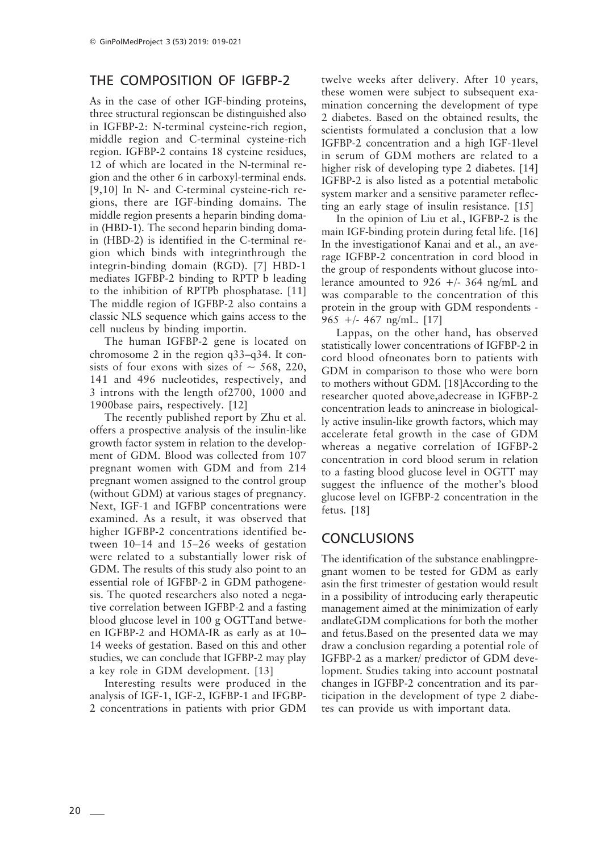## THE COMPOSITION OF IGFBP-2

As in the case of other IGF-binding proteins, three structural regionscan be distinguished also in IGFBP-2: N-terminal cysteine-rich region, middle region and C-terminal cysteine-rich region. IGFBP-2 contains 18 cysteine residues, 12 of which are located in the N-terminal region and the other 6 in carboxyl-terminal ends. [9,10] In N- and C-terminal cysteine-rich regions, there are IGF-binding domains. The middle region presents a heparin binding domain (HBD-1). The second heparin binding domain (HBD-2) is identified in the C-terminal region which binds with integrinthrough the integrin-binding domain (RGD). [7] HBD-1 mediates IGFBP-2 binding to RPTP b leading to the inhibition of RPTPb phosphatase. [11] The middle region of IGFBP-2 also contains a classic NLS sequence which gains access to the cell nucleus by binding importin.

The human IGFBP-2 gene is located on chromosome 2 in the region q33–q34. It consists of four exons with sizes of  $\sim$  568, 220, 141 and 496 nucleotides, respectively, and 3 introns with the length of2700, 1000 and 1900base pairs, respectively. [12]

The recently published report by Zhu et al. offers a prospective analysis of the insulin-like growth factor system in relation to the development of GDM. Blood was collected from 107 pregnant women with GDM and from 214 pregnant women assigned to the control group (without GDM) at various stages of pregnancy. Next, IGF-1 and IGFBP concentrations were examined. As a result, it was observed that higher IGFBP-2 concentrations identified between 10–14 and 15–26 weeks of gestation were related to a substantially lower risk of GDM. The results of this study also point to an essential role of IGFBP-2 in GDM pathogenesis. The quoted researchers also noted a negative correlation between IGFBP-2 and a fasting blood glucose level in 100 g OGTTand between IGFBP-2 and HOMA-IR as early as at 10– 14 weeks of gestation. Based on this and other studies, we can conclude that IGFBP-2 may play a key role in GDM development. [13]

Interesting results were produced in the analysis of IGF-1, IGF-2, IGFBP-1 and IFGBP-2 concentrations in patients with prior GDM twelve weeks after delivery. After 10 years, these women were subject to subsequent examination concerning the development of type 2 diabetes. Based on the obtained results, the scientists formulated a conclusion that a low IGFBP-2 concentration and a high IGF-1level in serum of GDM mothers are related to a higher risk of developing type 2 diabetes. [14] IGFBP-2 is also listed as a potential metabolic system marker and a sensitive parameter reflecting an early stage of insulin resistance. [15]

In the opinion of Liu et al., IGFBP-2 is the main IGF-binding protein during fetal life. [16] In the investigationof Kanai and et al., an average IGFBP-2 concentration in cord blood in the group of respondents without glucose intolerance amounted to 926 +/- 364 ng/mL and was comparable to the concentration of this protein in the group with GDM respondents - 965 +/- 467 ng/mL. [17]

Lappas, on the other hand, has observed statistically lower concentrations of IGFBP-2 in cord blood ofneonates born to patients with GDM in comparison to those who were born to mothers without GDM. [18]According to the researcher quoted above,adecrease in IGFBP-2 concentration leads to anincrease in biologically active insulin-like growth factors, which may accelerate fetal growth in the case of GDM whereas a negative correlation of IGFBP-2 concentration in cord blood serum in relation to a fasting blood glucose level in OGTT may suggest the influence of the mother's blood glucose level on IGFBP-2 concentration in the fetus. [18]

## **CONCLUSIONS**

The identification of the substance enablingpregnant women to be tested for GDM as early asin the first trimester of gestation would result in a possibility of introducing early therapeutic management aimed at the minimization of early andlateGDM complications for both the mother and fetus.Based on the presented data we may draw a conclusion regarding a potential role of IGFBP-2 as a marker/ predictor of GDM development. Studies taking into account postnatal changes in IGFBP-2 concentration and its participation in the development of type 2 diabetes can provide us with important data.